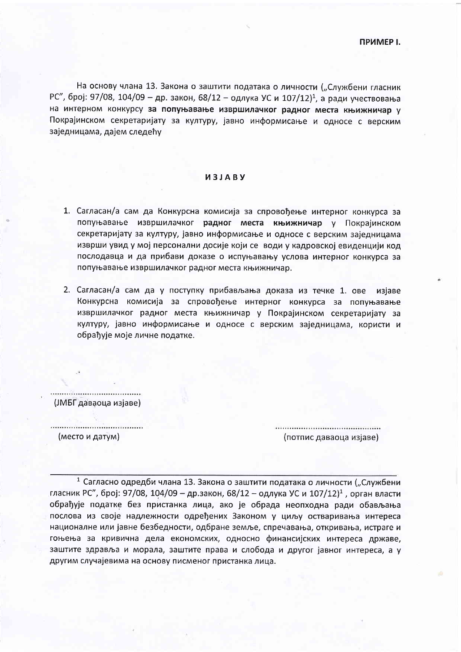На основу члана 13. Закона о заштити података о личности ("Службени гласник РС", број: 97/08, 104/09 - др. закон, 68/12 - одлука УС и 107/12)<sup>1</sup>, а ради учествовања на интерном конкурсу за попуњавање извршилачког радног места књижничар у Покрајинском секретаријату за културу, јавно информисање и односе с верским заједницама, дајем следећу

## *U3JARV*

- 1. Сагласан/а сам да Конкурсна комисија за спровођење интерног конкурса за попуњавање извршилачког радног места књижничар у Покрајинском секретаријату за културу, јавно информисање и односе с верским заједницама изврши увид у мој персонални досије који се води у кадровској евиденцији код послодавца и да прибави доказе о испуњавању услова интерног конкурса за попуњавање извршилачког радног места књижничар.
- 2. Сагласан/а сам да у поступку прибављања доказа из течке 1. ове изјаве Конкурсна комисија за спровођење интерног конкурса за попуњавање извршилачког радног места књижничар у Покрајинском секретаријату за културу, јавно информисање и односе с верским заједницама, користи и обрађује моје личне податке.

(ЈМБГ даваоца изјаве)

(место и датум)

(потпис даваоца изјаве)

1 Сагласно одредби члана 13. Закона о заштити података о личности ("Службени гласник РС", број: 97/08, 104/09 - др.закон, 68/12 - одлука УС и 107/12)<sup>1</sup>, орган власти обрађује податке без пристанка лица, ако је обрада неопходна ради обављања послова из своје надлежности одређених Законом у циљу остваривања интереса националне или јавне безбедности, одбране земље, спречавања, откривања, истраге и гоњења за кривична дела економских, односно финансијских интереса државе, заштите здравља и морала, заштите права и слобода и другог јавног интереса, а у другим случајевима на основу писменог пристанка лица.